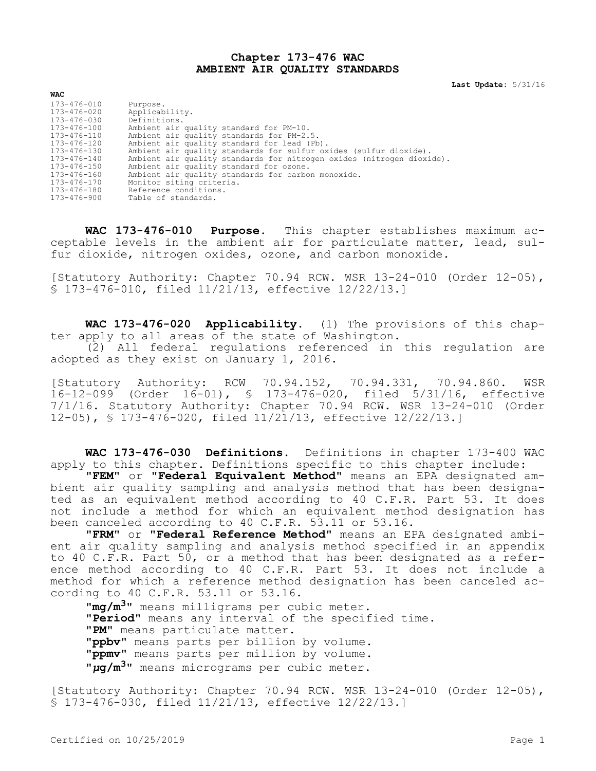### **Chapter 173-476 WAC AMBIENT AIR QUALITY STANDARDS**

**Last Update:** 5/31/16

| $173 - 476 - 010$ | Purpose.                                                              |
|-------------------|-----------------------------------------------------------------------|
| 173-476-020       | Applicability.                                                        |
| 173-476-030       | Definitions.                                                          |
| $173 - 476 - 100$ | Ambient air quality standard for PM-10.                               |
| $173 - 476 - 110$ | Ambient air quality standards for PM-2.5.                             |
| $173 - 476 - 120$ | Ambient air quality standard for lead (Pb).                           |
| $173 - 476 - 130$ | Ambient air quality standards for sulfur oxides (sulfur dioxide).     |
| $173 - 476 - 140$ | Ambient air quality standards for nitrogen oxides (nitrogen dioxide). |
| $173 - 476 - 150$ | Ambient air quality standard for ozone.                               |
| $173 - 476 - 160$ | Ambient air quality standards for carbon monoxide.                    |
| 173-476-170       | Monitor siting criteria.                                              |
| $173 - 476 - 180$ | Reference conditions.                                                 |
| $173 - 476 - 900$ | Table of standards.                                                   |
|                   |                                                                       |

**WAC 173-476-010 Purpose.** This chapter establishes maximum acceptable levels in the ambient air for particulate matter, lead, sulfur dioxide, nitrogen oxides, ozone, and carbon monoxide.

[Statutory Authority: Chapter 70.94 RCW. WSR 13-24-010 (Order 12-05), § 173-476-010, filed 11/21/13, effective 12/22/13.]

**WAC 173-476-020 Applicability.** (1) The provisions of this chapter apply to all areas of the state of Washington. (2) All federal regulations referenced in this regulation are adopted as they exist on January 1, 2016.

[Statutory Authority: RCW 70.94.152, 70.94.331, 70.94.860. WSR 16-12-099 (Order 16-01), § 173-476-020, filed 5/31/16, effective 7/1/16. Statutory Authority: Chapter 70.94 RCW. WSR 13-24-010 (Order 12-05), § 173-476-020, filed 11/21/13, effective 12/22/13.]

**WAC 173-476-030 Definitions.** Definitions in chapter 173-400 WAC apply to this chapter. Definitions specific to this chapter include:

**"FEM"** or **"Federal Equivalent Method"** means an EPA designated ambient air quality sampling and analysis method that has been designated as an equivalent method according to 40 C.F.R. Part 53. It does not include a method for which an equivalent method designation has been canceled according to 40 C.F.R. 53.11 or 53.16.

**"FRM"** or **"Federal Reference Method"** means an EPA designated ambient air quality sampling and analysis method specified in an appendix to 40 C.F.R. Part 50, or a method that has been designated as a reference method according to 40 C.F.R. Part 53. It does not include a method for which a reference method designation has been canceled according to 40 C.F.R. 53.11 or 53.16.

**"mg/m3"** means milligrams per cubic meter. **"Period"** means any interval of the specified time. **"PM"** means particulate matter. **"ppbv"** means parts per billion by volume. **"ppmv"** means parts per million by volume. **"***µ***g/m3"** means micrograms per cubic meter.

[Statutory Authority: Chapter 70.94 RCW. WSR 13-24-010 (Order 12-05), § 173-476-030, filed 11/21/13, effective 12/22/13.]

**WAC**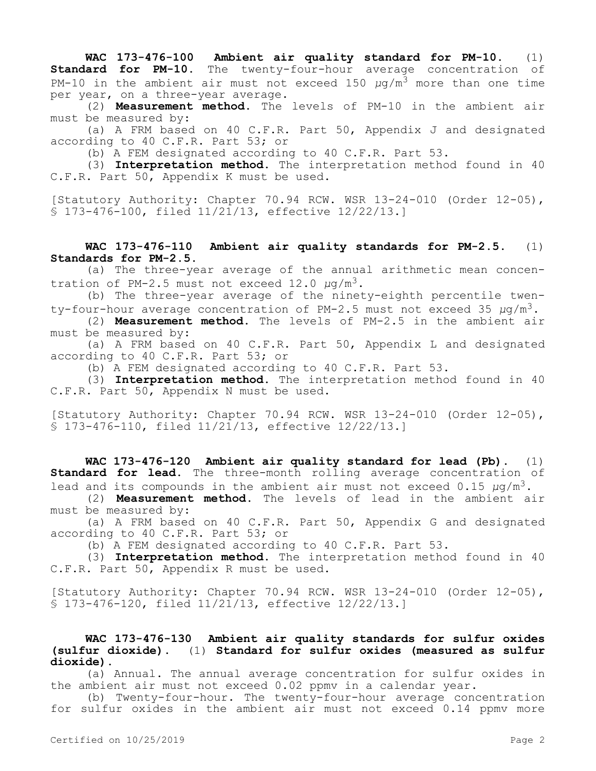**WAC 173-476-100 Ambient air quality standard for PM-10.** (1) **Standard for PM-10.** The twenty-four-hour average concentration of PM-10 in the ambient air must not exceed 150  $\mu q/m^3$  more than one time per year, on a three-year average.

(2) **Measurement method.** The levels of PM-10 in the ambient air must be measured by:

(a) A FRM based on 40 C.F.R. Part 50, Appendix J and designated according to 40 C.F.R. Part 53; or

(b) A FEM designated according to 40 C.F.R. Part 53.

(3) **Interpretation method.** The interpretation method found in 40 C.F.R. Part 50, Appendix K must be used.

[Statutory Authority: Chapter 70.94 RCW. WSR 13-24-010 (Order 12-05), § 173-476-100, filed 11/21/13, effective 12/22/13.]

**WAC 173-476-110 Ambient air quality standards for PM-2.5.** (1) **Standards for PM-2.5.**

(a) The three-year average of the annual arithmetic mean concentration of PM-2.5 must not exceed 12.0 *μ*g/m3.

(b) The three-year average of the ninety-eighth percentile twenty-four-hour average concentration of PM-2.5 must not exceed 35 *μ*g/m3.

(2) **Measurement method.** The levels of PM-2.5 in the ambient air must be measured by:

(a) A FRM based on 40 C.F.R. Part 50, Appendix L and designated according to 40 C.F.R. Part 53; or

(b) A FEM designated according to 40 C.F.R. Part 53.

(3) **Interpretation method.** The interpretation method found in 40 C.F.R. Part 50, Appendix N must be used.

[Statutory Authority: Chapter 70.94 RCW. WSR 13-24-010 (Order 12-05), § 173-476-110, filed 11/21/13, effective 12/22/13.]

**WAC 173-476-120 Ambient air quality standard for lead (Pb).** (1) **Standard for lead.** The three-month rolling average concentration of lead and its compounds in the ambient air must not exceed 0.15 *μ*g/m3.

(2) **Measurement method.** The levels of lead in the ambient air must be measured by:

(a) A FRM based on 40 C.F.R. Part 50, Appendix G and designated according to 40 C.F.R. Part 53; or

(b) A FEM designated according to 40 C.F.R. Part 53.

(3) **Interpretation method.** The interpretation method found in 40 C.F.R. Part 50, Appendix R must be used.

[Statutory Authority: Chapter 70.94 RCW. WSR 13-24-010 (Order 12-05), § 173-476-120, filed 11/21/13, effective 12/22/13.]

**WAC 173-476-130 Ambient air quality standards for sulfur oxides (sulfur dioxide).** (1) **Standard for sulfur oxides (measured as sulfur dioxide).**

(a) Annual. The annual average concentration for sulfur oxides in the ambient air must not exceed 0.02 ppmv in a calendar year.

(b) Twenty-four-hour. The twenty-four-hour average concentration for sulfur oxides in the ambient air must not exceed 0.14 ppmv more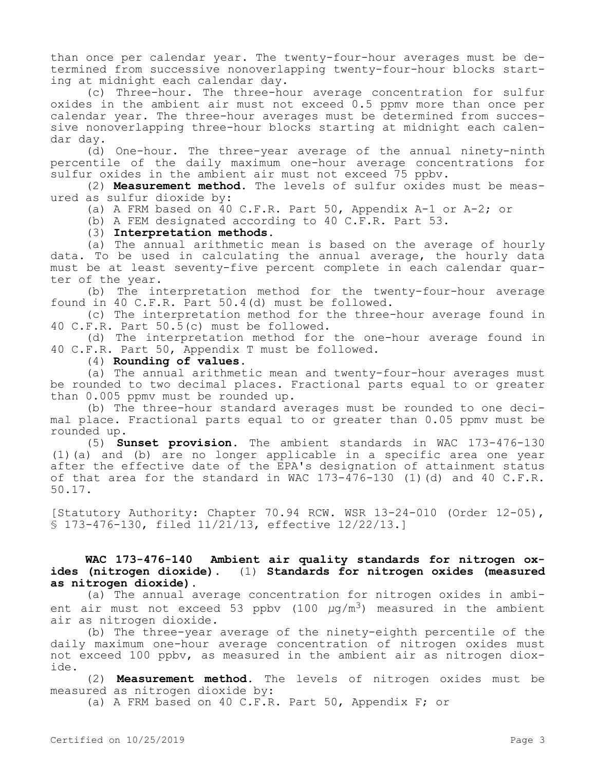than once per calendar year. The twenty-four-hour averages must be determined from successive nonoverlapping twenty-four-hour blocks starting at midnight each calendar day.

(c) Three-hour. The three-hour average concentration for sulfur oxides in the ambient air must not exceed 0.5 ppmv more than once per calendar year. The three-hour averages must be determined from successive nonoverlapping three-hour blocks starting at midnight each calendar day.

(d) One-hour. The three-year average of the annual ninety-ninth percentile of the daily maximum one-hour average concentrations for sulfur oxides in the ambient air must not exceed 75 ppbv.

(2) **Measurement method.** The levels of sulfur oxides must be measured as sulfur dioxide by:

(a) A FRM based on  $40$  C.F.R. Part 50, Appendix A-1 or A-2; or

(b) A FEM designated according to 40 C.F.R. Part 53.

### (3) **Interpretation methods.**

(a) The annual arithmetic mean is based on the average of hourly data. To be used in calculating the annual average, the hourly data must be at least seventy-five percent complete in each calendar quarter of the year.

(b) The interpretation method for the twenty-four-hour average found in 40 C.F.R. Part 50.4(d) must be followed.

(c) The interpretation method for the three-hour average found in 40 C.F.R. Part 50.5(c) must be followed.

(d) The interpretation method for the one-hour average found in 40 C.F.R. Part 50, Appendix T must be followed.

## (4) **Rounding of values**.

(a) The annual arithmetic mean and twenty-four-hour averages must be rounded to two decimal places. Fractional parts equal to or greater than 0.005 ppmv must be rounded up.

(b) The three-hour standard averages must be rounded to one decimal place. Fractional parts equal to or greater than 0.05 ppmv must be rounded up.

(5) **Sunset provision.** The ambient standards in WAC 173-476-130 (1)(a) and (b) are no longer applicable in a specific area one year after the effective date of the EPA's designation of attainment status of that area for the standard in WAC  $173-\overline{476}-130$  (1)(d) and 40 C.F.R. 50.17.

[Statutory Authority: Chapter 70.94 RCW. WSR 13-24-010 (Order 12-05), § 173-476-130, filed 11/21/13, effective 12/22/13.]

# **WAC 173-476-140 Ambient air quality standards for nitrogen oxides (nitrogen dioxide).** (1) **Standards for nitrogen oxides (measured as nitrogen dioxide).**

(a) The annual average concentration for nitrogen oxides in ambient air must not exceed 53 ppbv (100 *µ*g/m3) measured in the ambient air as nitrogen dioxide.

(b) The three-year average of the ninety-eighth percentile of the daily maximum one-hour average concentration of nitrogen oxides must not exceed 100 ppbv, as measured in the ambient air as nitrogen dioxide.

(2) **Measurement method.** The levels of nitrogen oxides must be measured as nitrogen dioxide by:

(a) A FRM based on 40 C.F.R. Part 50, Appendix F; or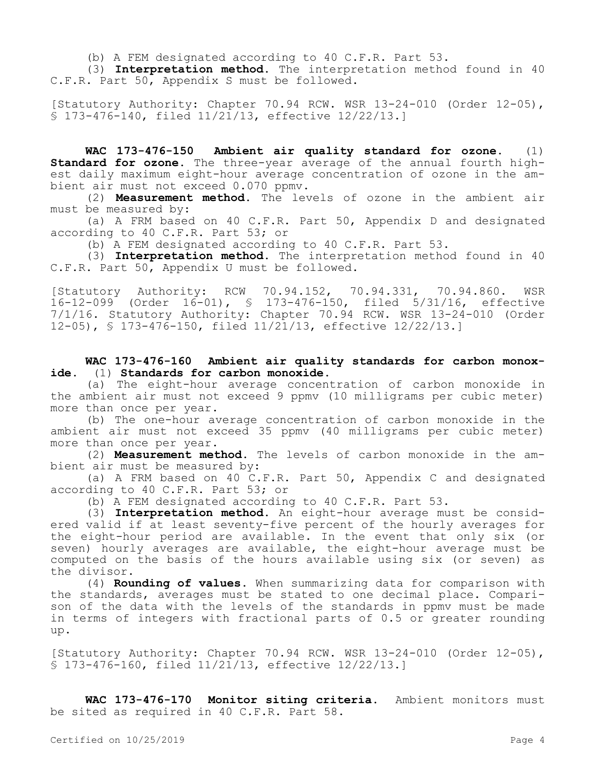(b) A FEM designated according to 40 C.F.R. Part 53.

(3) **Interpretation method.** The interpretation method found in 40 C.F.R. Part 50, Appendix S must be followed.

[Statutory Authority: Chapter 70.94 RCW. WSR 13-24-010 (Order 12-05), § 173-476-140, filed 11/21/13, effective 12/22/13.]

**WAC 173-476-150 Ambient air quality standard for ozone.** (1) **Standard for ozone.** The three-year average of the annual fourth highest daily maximum eight-hour average concentration of ozone in the ambient air must not exceed 0.070 ppmv.

(2) **Measurement method.** The levels of ozone in the ambient air must be measured by:

(a) A FRM based on 40 C.F.R. Part 50, Appendix D and designated according to 40 C.F.R. Part 53; or

(b) A FEM designated according to 40 C.F.R. Part 53.

(3) **Interpretation method.** The interpretation method found in 40 C.F.R. Part 50, Appendix U must be followed.

[Statutory Authority: RCW 70.94.152, 70.94.331, 70.94.860. WSR 16-12-099 (Order 16-01), § 173-476-150, filed 5/31/16, effective 7/1/16. Statutory Authority: Chapter 70.94 RCW. WSR 13-24-010 (Order 12-05), § 173-476-150, filed 11/21/13, effective 12/22/13.]

**WAC 173-476-160 Ambient air quality standards for carbon monoxide.** (1) **Standards for carbon monoxide.**

(a) The eight-hour average concentration of carbon monoxide in the ambient air must not exceed 9 ppmv (10 milligrams per cubic meter) more than once per year.

(b) The one-hour average concentration of carbon monoxide in the ambient air must not exceed 35 ppmv (40 milligrams per cubic meter) more than once per year.

(2) **Measurement method.** The levels of carbon monoxide in the ambient air must be measured by:

(a) A FRM based on 40 C.F.R. Part 50, Appendix C and designated according to 40 C.F.R. Part 53; or

(b) A FEM designated according to 40 C.F.R. Part 53.

(3) **Interpretation method.** An eight-hour average must be considered valid if at least seventy-five percent of the hourly averages for the eight-hour period are available. In the event that only six (or seven) hourly averages are available, the eight-hour average must be computed on the basis of the hours available using six (or seven) as the divisor.

(4) **Rounding of values.** When summarizing data for comparison with the standards, averages must be stated to one decimal place. Comparison of the data with the levels of the standards in ppmv must be made in terms of integers with fractional parts of 0.5 or greater rounding up.

[Statutory Authority: Chapter 70.94 RCW. WSR 13-24-010 (Order 12-05), § 173-476-160, filed 11/21/13, effective 12/22/13.]

**WAC 173-476-170 Monitor siting criteria.** Ambient monitors must be sited as required in 40 C.F.R. Part 58.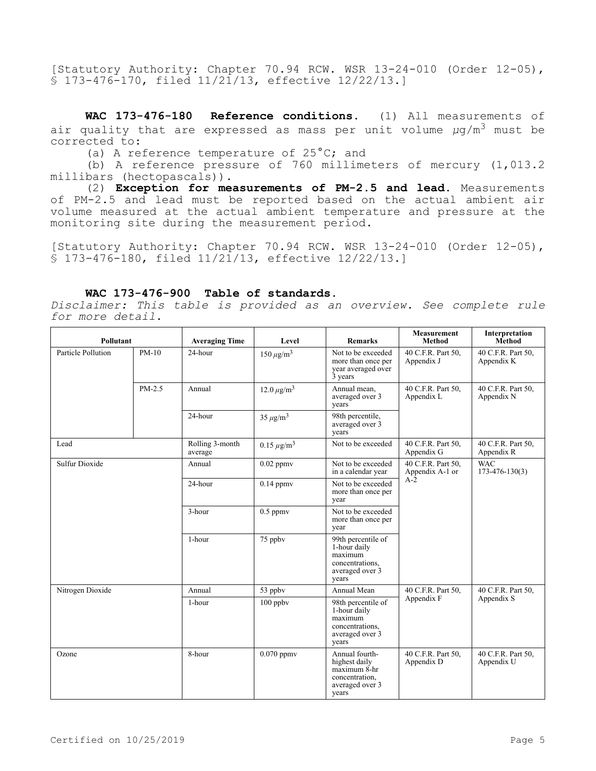[Statutory Authority: Chapter 70.94 RCW. WSR 13-24-010 (Order 12-05), § 173-476-170, filed 11/21/13, effective 12/22/13.]

**WAC 173-476-180 Reference conditions.** (1) All measurements of air quality that are expressed as mass per unit volume *µ*g/m3 must be corrected to:

(a) A reference temperature of 25°C; and

(b) A reference pressure of 760 millimeters of mercury (1,013.2 millibars (hectopascals)).

(2) **Exception for measurements of PM-2.5 and lead.** Measurements of PM-2.5 and lead must be reported based on the actual ambient air volume measured at the actual ambient temperature and pressure at the monitoring site during the measurement period.

[Statutory Authority: Chapter 70.94 RCW. WSR 13-24-010 (Order 12-05), § 173-476-180, filed 11/21/13, effective 12/22/13.]

### **WAC 173-476-900 Table of standards.**

*Disclaimer: This table is provided as an overview. See complete rule for more detail.*

| Pollutant             |          | <b>Averaging Time</b>      | Level              | <b>Remarks</b>                                                                                  | <b>Measurement</b><br><b>Method</b>            | Interpretation<br>Method           |
|-----------------------|----------|----------------------------|--------------------|-------------------------------------------------------------------------------------------------|------------------------------------------------|------------------------------------|
| Particle Pollution    | $PM-10$  | 24-hour                    | $150 \,\mu g/m^3$  | Not to be exceeded<br>more than once per<br>year averaged over<br>3 years                       | 40 C.F.R. Part 50.<br>Appendix J               | 40 C.F.R. Part 50,<br>Appendix K   |
|                       | $PM-2.5$ | Annual                     | $12.0 \ \mu g/m^3$ | Annual mean,<br>averaged over 3<br>years                                                        | 40 C.F.R. Part 50,<br>Appendix L               | 40 C.F.R. Part 50,<br>Appendix N   |
|                       |          | 24-hour                    | $35 \mu g/m^3$     | 98th percentile,<br>averaged over 3<br>years                                                    |                                                |                                    |
| Lead                  |          | Rolling 3-month<br>average | $0.15 \ \mu g/m^3$ | Not to be exceeded                                                                              | 40 C.F.R. Part 50,<br>Appendix G               | 40 C.F.R. Part 50,<br>Appendix R   |
| <b>Sulfur Dioxide</b> |          | Annual                     | $0.02$ ppm $v$     | Not to be exceeded<br>in a calendar year                                                        | 40 C.F.R. Part 50,<br>Appendix A-1 or<br>$A-2$ | <b>WAC</b><br>$173 - 476 - 130(3)$ |
|                       |          | 24-hour                    | $0.14$ ppm $v$     | Not to be exceeded<br>more than once per<br>year                                                |                                                |                                    |
|                       |          | 3-hour                     | $0.5$ ppm $v$      | Not to be exceeded<br>more than once per<br>year                                                |                                                |                                    |
|                       |          | 1-hour                     | 75 ppbv            | 99th percentile of<br>1-hour daily<br>maximum<br>concentrations,<br>averaged over 3<br>years    |                                                |                                    |
| Nitrogen Dioxide      |          | Annual                     | 53 ppbv            | Annual Mean                                                                                     | 40 C.F.R. Part 50,<br>Appendix F               | 40 C.F.R. Part 50,<br>Appendix S   |
|                       |          | 1-hour                     | 100 ppbv           | 98th percentile of<br>1-hour daily<br>maximum<br>concentrations,<br>averaged over 3<br>years    |                                                |                                    |
| Ozone                 |          | 8-hour                     | $0.070$ ppm $v$    | Annual fourth-<br>highest daily<br>$maximum$ 8-hr<br>concentration,<br>averaged over 3<br>years | 40 C.F.R. Part 50.<br>Appendix D               | 40 C.F.R. Part 50,<br>Appendix U   |